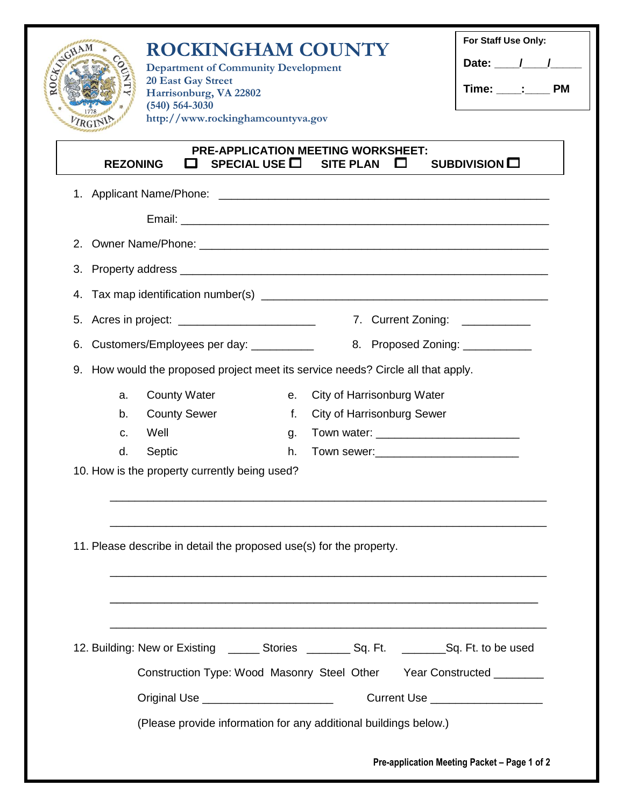| ROUTING SCHAM                                           | <b>ROCKINGHAM COUNTY</b><br><b>Department of Community Development</b>      |                                                                     |                    |                                                                                                                                                                                                                                | For Staff Use Only:<br>Date: $\frac{1}{\sqrt{1-\frac{1}{2}}}$ |  |
|---------------------------------------------------------|-----------------------------------------------------------------------------|---------------------------------------------------------------------|--------------------|--------------------------------------------------------------------------------------------------------------------------------------------------------------------------------------------------------------------------------|---------------------------------------------------------------|--|
|                                                         |                                                                             | <b>20 East Gay Street</b><br>Harrisonburg, VA 22802                 |                    |                                                                                                                                                                                                                                | Time: ____: ______ PM                                         |  |
| $(540) 564 - 3030$<br>http://www.rockinghamcountyva.gov |                                                                             |                                                                     |                    |                                                                                                                                                                                                                                |                                                               |  |
|                                                         |                                                                             |                                                                     |                    |                                                                                                                                                                                                                                |                                                               |  |
|                                                         | <b>REZONING</b>                                                             |                                                                     | SPECIAL USE $\Box$ | <b>PRE-APPLICATION MEETING WORKSHEET:</b><br><b>SITE PLAN</b><br>$\Box$                                                                                                                                                        | SUBDIVISION O                                                 |  |
|                                                         |                                                                             |                                                                     |                    |                                                                                                                                                                                                                                |                                                               |  |
|                                                         |                                                                             |                                                                     |                    |                                                                                                                                                                                                                                |                                                               |  |
| 2.                                                      |                                                                             |                                                                     |                    |                                                                                                                                                                                                                                |                                                               |  |
| 3.                                                      |                                                                             |                                                                     |                    |                                                                                                                                                                                                                                |                                                               |  |
| 4.                                                      |                                                                             |                                                                     |                    |                                                                                                                                                                                                                                |                                                               |  |
| 5.                                                      |                                                                             |                                                                     |                    |                                                                                                                                                                                                                                |                                                               |  |
|                                                         | 7. Current Zoning: ____________                                             |                                                                     |                    |                                                                                                                                                                                                                                |                                                               |  |
| 6.                                                      | Customers/Employees per day: __________<br>8. Proposed Zoning: ____________ |                                                                     |                    |                                                                                                                                                                                                                                |                                                               |  |
| 9.                                                      |                                                                             |                                                                     |                    | How would the proposed project meet its service needs? Circle all that apply.                                                                                                                                                  |                                                               |  |
|                                                         | a.                                                                          | <b>County Water</b>                                                 | е.                 | City of Harrisonburg Water                                                                                                                                                                                                     |                                                               |  |
|                                                         | b.                                                                          | <b>County Sewer</b>                                                 | f.                 | <b>City of Harrisonburg Sewer</b>                                                                                                                                                                                              |                                                               |  |
|                                                         | C.<br>d.                                                                    | Well<br>Septic                                                      | g.<br>h.           | Town sewer: Management and the series of the series of the series of the series of the series of the series of the series of the series of the series of the series of the series of the series of the series of the series of |                                                               |  |
|                                                         |                                                                             | 10. How is the property currently being used?                       |                    |                                                                                                                                                                                                                                |                                                               |  |
|                                                         |                                                                             |                                                                     |                    |                                                                                                                                                                                                                                |                                                               |  |
|                                                         |                                                                             |                                                                     |                    |                                                                                                                                                                                                                                |                                                               |  |
|                                                         |                                                                             | 11. Please describe in detail the proposed use(s) for the property. |                    |                                                                                                                                                                                                                                |                                                               |  |
|                                                         |                                                                             |                                                                     |                    |                                                                                                                                                                                                                                |                                                               |  |
|                                                         |                                                                             |                                                                     |                    |                                                                                                                                                                                                                                |                                                               |  |
|                                                         |                                                                             |                                                                     |                    | <u> 1989 - Johann Stoff, amerikansk politiker (d. 1989)</u>                                                                                                                                                                    |                                                               |  |
|                                                         |                                                                             |                                                                     |                    | 12. Building: New or Existing ________ Stories __________ Sq. Ft. _________ Sq. Ft. to be used                                                                                                                                 |                                                               |  |
|                                                         |                                                                             |                                                                     |                    | Construction Type: Wood Masonry Steel Other Year Constructed ________                                                                                                                                                          |                                                               |  |
|                                                         |                                                                             |                                                                     |                    |                                                                                                                                                                                                                                |                                                               |  |
|                                                         |                                                                             |                                                                     |                    |                                                                                                                                                                                                                                | Current Use ____________________                              |  |
|                                                         |                                                                             |                                                                     |                    | (Please provide information for any additional buildings below.)                                                                                                                                                               |                                                               |  |